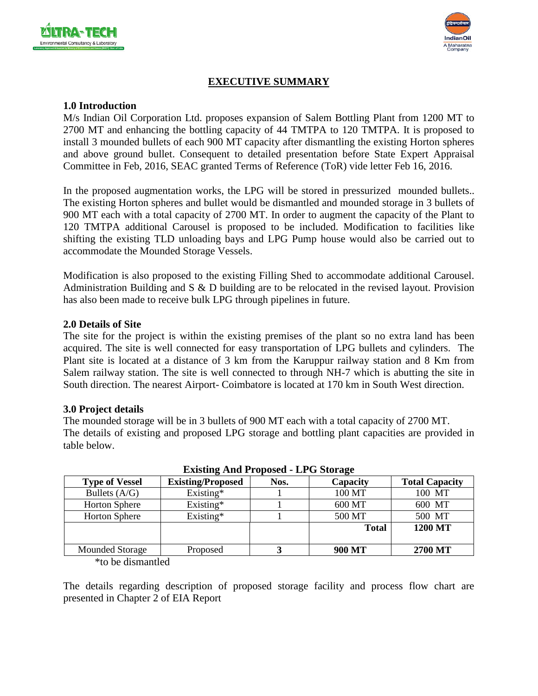



# **EXECUTIVE SUMMARY**

#### **1.0 Introduction**

M/s Indian Oil Corporation Ltd. proposes expansion of Salem Bottling Plant from 1200 MT to 2700 MT and enhancing the bottling capacity of 44 TMTPA to 120 TMTPA. It is proposed to install 3 mounded bullets of each 900 MT capacity after dismantling the existing Horton spheres and above ground bullet. Consequent to detailed presentation before State Expert Appraisal Committee in Feb, 2016, SEAC granted Terms of Reference (ToR) vide letter Feb 16, 2016.

In the proposed augmentation works, the LPG will be stored in pressurized mounded bullets.. The existing Horton spheres and bullet would be dismantled and mounded storage in 3 bullets of 900 MT each with a total capacity of 2700 MT. In order to augment the capacity of the Plant to 120 TMTPA additional Carousel is proposed to be included. Modification to facilities like shifting the existing TLD unloading bays and LPG Pump house would also be carried out to accommodate the Mounded Storage Vessels.

Modification is also proposed to the existing Filling Shed to accommodate additional Carousel. Administration Building and S & D building are to be relocated in the revised layout. Provision has also been made to receive bulk LPG through pipelines in future.

#### **2.0 Details of Site**

The site for the project is within the existing premises of the plant so no extra land has been acquired. The site is well connected for easy transportation of LPG bullets and cylinders. The Plant site is located at a distance of 3 km from the Karuppur railway station and 8 Km from Salem railway station. The site is well connected to through NH-7 which is abutting the site in South direction. The nearest Airport- Coimbatore is located at 170 km in South West direction.

#### **3.0 Project details**

The mounded storage will be in 3 bullets of 900 MT each with a total capacity of 2700 MT. The details of existing and proposed LPG storage and bottling plant capacities are provided in table below.

| <b>EXISURE ARE I TOPOSCU - LI G BIOLAZE</b> |                          |      |              |                       |  |  |
|---------------------------------------------|--------------------------|------|--------------|-----------------------|--|--|
| <b>Type of Vessel</b>                       | <b>Existing/Proposed</b> | Nos. | Capacity     | <b>Total Capacity</b> |  |  |
| Bullets $(A/G)$                             | Existing*                |      | 100 MT       | 100 MT                |  |  |
| <b>Horton Sphere</b>                        | $Existing*$              |      | 600 MT       | 600 MT                |  |  |
| <b>Horton Sphere</b>                        | Existing*                |      | 500 MT       | 500 MT                |  |  |
|                                             |                          |      | <b>Total</b> | 1200 MT               |  |  |
|                                             |                          |      |              |                       |  |  |
| Mounded Storage                             | Proposed                 |      | 900 MT       | 2700 MT               |  |  |

**Existing And Proposed - LPG Storage**

\*to be dismantled

The details regarding description of proposed storage facility and process flow chart are presented in Chapter 2 of EIA Report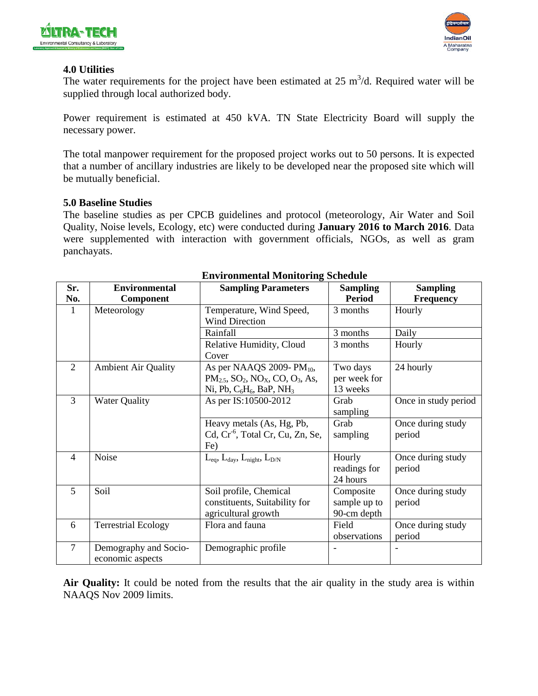



#### **4.0 Utilities**

The water requirements for the project have been estimated at  $25 \text{ m}^3/\text{d}$ . Required water will be supplied through local authorized body.

Power requirement is estimated at 450 kVA. TN State Electricity Board will supply the necessary power.

The total manpower requirement for the proposed project works out to 50 persons. It is expected that a number of ancillary industries are likely to be developed near the proposed site which will be mutually beneficial.

#### **5.0 Baseline Studies**

The baseline studies as per CPCB guidelines and protocol (meteorology, Air Water and Soil Quality, Noise levels, Ecology, etc) were conducted during **January 2016 to March 2016**. Data were supplemented with interaction with government officials, NGOs, as well as gram panchayats.

| Sr.            | <b>Environmental</b>       | <b>Sampling Parameters</b>                                                | <b>Sampling</b> | <b>Sampling</b>      |
|----------------|----------------------------|---------------------------------------------------------------------------|-----------------|----------------------|
| No.            | Component                  |                                                                           | <b>Period</b>   | <b>Frequency</b>     |
| $\mathbf{1}$   | Meteorology                | Temperature, Wind Speed,                                                  | 3 months        | Hourly               |
|                |                            | <b>Wind Direction</b>                                                     |                 |                      |
|                |                            | Rainfall                                                                  | 3 months        | Daily                |
|                |                            | Relative Humidity, Cloud                                                  | 3 months        | Hourly               |
|                |                            | Cover                                                                     |                 |                      |
| $\overline{2}$ | <b>Ambient Air Quality</b> | As per NAAQS 2009- $PM_{10}$ ,                                            | Two days        | 24 hourly            |
|                |                            | $PM_{2.5}$ , SO <sub>2</sub> , NO <sub>x</sub> , CO, O <sub>3</sub> , As, | per week for    |                      |
|                |                            | Ni, Pb, $C_6H_6$ , BaP, NH <sub>3</sub>                                   | 13 weeks        |                      |
| 3              | <b>Water Quality</b>       | As per IS:10500-2012                                                      | Grab            | Once in study period |
|                |                            |                                                                           | sampling        |                      |
|                |                            | Heavy metals (As, Hg, Pb,                                                 | Grab            | Once during study    |
|                |                            | Cd, Cr <sup>-6</sup> , Total Cr, Cu, Zn, Se,                              | sampling        | period               |
|                |                            | Fe)                                                                       |                 |                      |
| $\overline{4}$ | Noise                      | $L_{eq}$ , $L_{day}$ , $L_{night}$ , $L_{D/N}$                            | Hourly          | Once during study    |
|                |                            |                                                                           | readings for    | period               |
|                |                            |                                                                           | 24 hours        |                      |
| 5              | Soil                       | Soil profile, Chemical                                                    | Composite       | Once during study    |
|                |                            | constituents, Suitability for                                             | sample up to    | period               |
|                |                            | agricultural growth                                                       | 90-cm depth     |                      |
| 6              | <b>Terrestrial Ecology</b> | Flora and fauna                                                           | Field           | Once during study    |
|                |                            |                                                                           | observations    | period               |
| $\overline{7}$ | Demography and Socio-      | Demographic profile                                                       |                 |                      |
|                | economic aspects           |                                                                           |                 |                      |

#### **Environmental Monitoring Schedule**

**Air Quality:** It could be noted from the results that the air quality in the study area is within NAAQS Nov 2009 limits.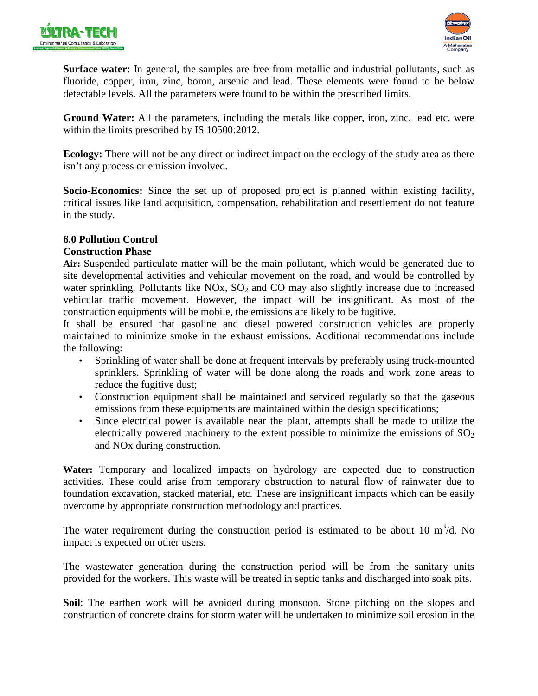



**Surface water:** In general, the samples are free from metallic and industrial pollutants, such as fluoride, copper, iron, zinc, boron, arsenic and lead. These elements were found to be below detectable levels. All the parameters were found to be within the prescribed limits.

**Ground Water:** All the parameters, including the metals like copper, iron, zinc, lead etc. were within the limits prescribed by IS 10500:2012.

**Ecology:** There will not be any direct or indirect impact on the ecology of the study area as there isn't any process or emission involved.

**Socio-Economics:** Since the set up of proposed project is planned within existing facility, critical issues like land acquisition, compensation, rehabilitation and resettlement do not feature in the study.

### **6.0 Pollution Control**

### **Construction Phase**

**Air:** Suspended particulate matter will be the main pollutant, which would be generated due to site developmental activities and vehicular movement on the road, and would be controlled by water sprinkling. Pollutants like  $NOx$ ,  $SO<sub>2</sub>$  and  $CO$  may also slightly increase due to increased vehicular traffic movement. However, the impact will be insignificant. As most of the construction equipments will be mobile, the emissions are likely to be fugitive.

It shall be ensured that gasoline and diesel powered construction vehicles are properly maintained to minimize smoke in the exhaust emissions. Additional recommendations include the following:

- Sprinkling of water shall be done at frequent intervals by preferably using truck-mounted sprinklers. Sprinkling of water will be done along the roads and work zone areas to reduce the fugitive dust;
- Construction equipment shall be maintained and serviced regularly so that the gaseous emissions from these equipments are maintained within the design specifications;
- Since electrical power is available near the plant, attempts shall be made to utilize the electrically powered machinery to the extent possible to minimize the emissions of  $SO_2$ and NOx during construction.

**Water:** Temporary and localized impacts on hydrology are expected due to construction activities. These could arise from temporary obstruction to natural flow of rainwater due to foundation excavation, stacked material, etc. These are insignificant impacts which can be easily overcome by appropriate construction methodology and practices.

The water requirement during the construction period is estimated to be about 10  $m^3/d$ . No impact is expected on other users.

The wastewater generation during the construction period will be from the sanitary units provided for the workers. This waste will be treated in septic tanks and discharged into soak pits.

**Soil**: The earthen work will be avoided during monsoon. Stone pitching on the slopes and construction of concrete drains for storm water will be undertaken to minimize soil erosion in the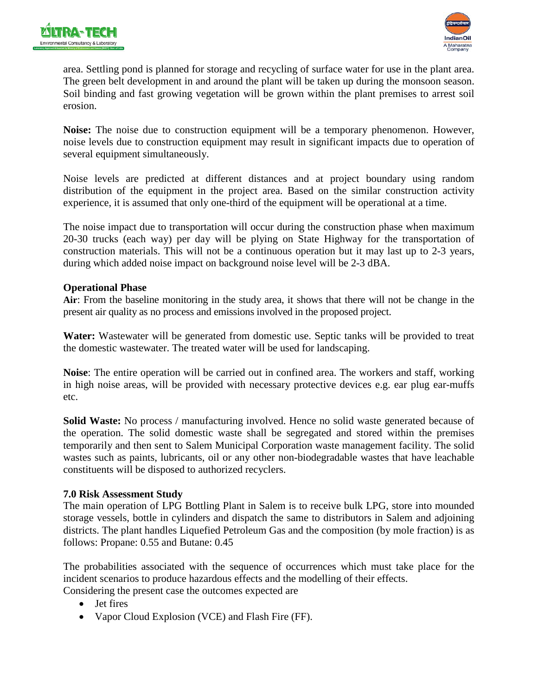



area. Settling pond is planned for storage and recycling of surface water for use in the plant area. The green belt development in and around the plant will be taken up during the monsoon season. Soil binding and fast growing vegetation will be grown within the plant premises to arrest soil erosion.

**Noise:** The noise due to construction equipment will be a temporary phenomenon. However, noise levels due to construction equipment may result in significant impacts due to operation of several equipment simultaneously.

Noise levels are predicted at different distances and at project boundary using random distribution of the equipment in the project area. Based on the similar construction activity experience, it is assumed that only one-third of the equipment will be operational at a time.

The noise impact due to transportation will occur during the construction phase when maximum 20-30 trucks (each way) per day will be plying on State Highway for the transportation of construction materials. This will not be a continuous operation but it may last up to 2-3 years, during which added noise impact on background noise level will be 2-3 dBA.

### **Operational Phase**

**Air**: From the baseline monitoring in the study area, it shows that there will not be change in the present air quality as no process and emissions involved in the proposed project.

**Water:** Wastewater will be generated from domestic use. Septic tanks will be provided to treat the domestic wastewater. The treated water will be used for landscaping.

**Noise**: The entire operation will be carried out in confined area. The workers and staff, working in high noise areas, will be provided with necessary protective devices e.g. ear plug ear-muffs etc.

**Solid Waste:** No process / manufacturing involved. Hence no solid waste generated because of the operation. The solid domestic waste shall be segregated and stored within the premises temporarily and then sent to Salem Municipal Corporation waste management facility. The solid wastes such as paints, lubricants, oil or any other non-biodegradable wastes that have leachable constituents will be disposed to authorized recyclers.

### **7.0 Risk Assessment Study**

The main operation of LPG Bottling Plant in Salem is to receive bulk LPG, store into mounded storage vessels, bottle in cylinders and dispatch the same to distributors in Salem and adjoining districts. The plant handles Liquefied Petroleum Gas and the composition (by mole fraction) is as follows: Propane: 0.55 and Butane: 0.45

The probabilities associated with the sequence of occurrences which must take place for the incident scenarios to produce hazardous effects and the modelling of their effects.

Considering the present case the outcomes expected are

- Jet fires
- Vapor Cloud Explosion (VCE) and Flash Fire (FF).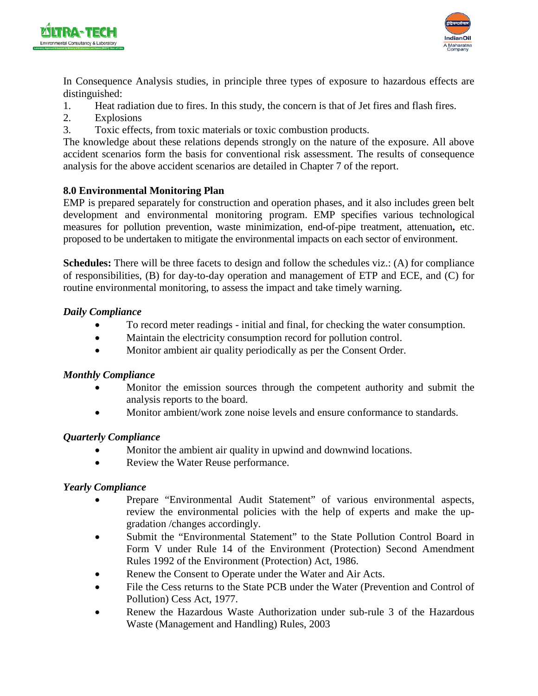



In Consequence Analysis studies, in principle three types of exposure to hazardous effects are distinguished:

- 1. Heat radiation due to fires. In this study, the concern is that of Jet fires and flash fires.
- 2. Explosions
- 3. Toxic effects, from toxic materials or toxic combustion products.

The knowledge about these relations depends strongly on the nature of the exposure. All above accident scenarios form the basis for conventional risk assessment. The results of consequence analysis for the above accident scenarios are detailed in Chapter 7 of the report.

# **8.0 Environmental Monitoring Plan**

EMP is prepared separately for construction and operation phases, and it also includes green belt development and environmental monitoring program. EMP specifies various technological measures for pollution prevention, waste minimization, end-of-pipe treatment, attenuation**,** etc. proposed to be undertaken to mitigate the environmental impacts on each sector of environment.

**Schedules:** There will be three facets to design and follow the schedules viz.: (A) for compliance of responsibilities, (B) for day-to-day operation and management of ETP and ECE, and (C) for routine environmental monitoring, to assess the impact and take timely warning.

### *Daily Compliance*

- To record meter readings initial and final, for checking the water consumption.
- Maintain the electricity consumption record for pollution control.
- Monitor ambient air quality periodically as per the Consent Order.

# *Monthly Compliance*

- Monitor the emission sources through the competent authority and submit the analysis reports to the board.
- Monitor ambient/work zone noise levels and ensure conformance to standards.

# *Quarterly Compliance*

- Monitor the ambient air quality in upwind and downwind locations.
- Review the Water Reuse performance.

# *Yearly Compliance*

- Prepare "Environmental Audit Statement" of various environmental aspects, review the environmental policies with the help of experts and make the upgradation /changes accordingly.
- Submit the "Environmental Statement" to the State Pollution Control Board in Form V under Rule 14 of the Environment (Protection) Second Amendment Rules 1992 of the Environment (Protection) Act, 1986.
- Renew the Consent to Operate under the Water and Air Acts.
- File the Cess returns to the State PCB under the Water (Prevention and Control of Pollution) Cess Act, 1977.
- Renew the Hazardous Waste Authorization under sub-rule 3 of the Hazardous Waste (Management and Handling) Rules, 2003